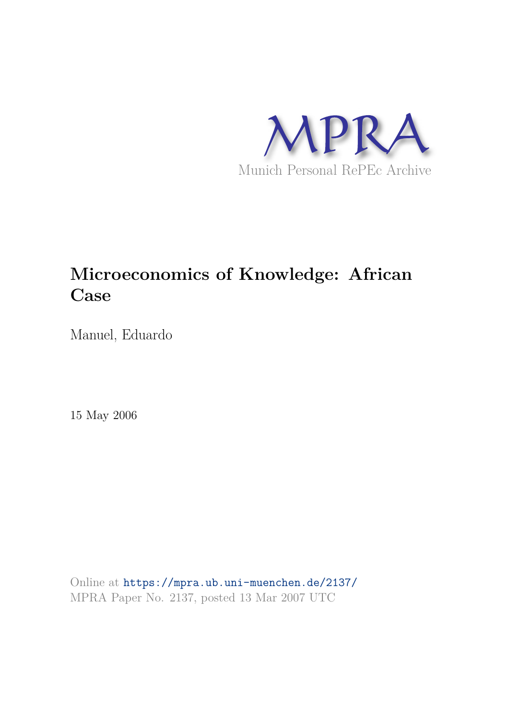

# **Microeconomics of Knowledge: African Case**

Manuel, Eduardo

15 May 2006

Online at https://mpra.ub.uni-muenchen.de/2137/ MPRA Paper No. 2137, posted 13 Mar 2007 UTC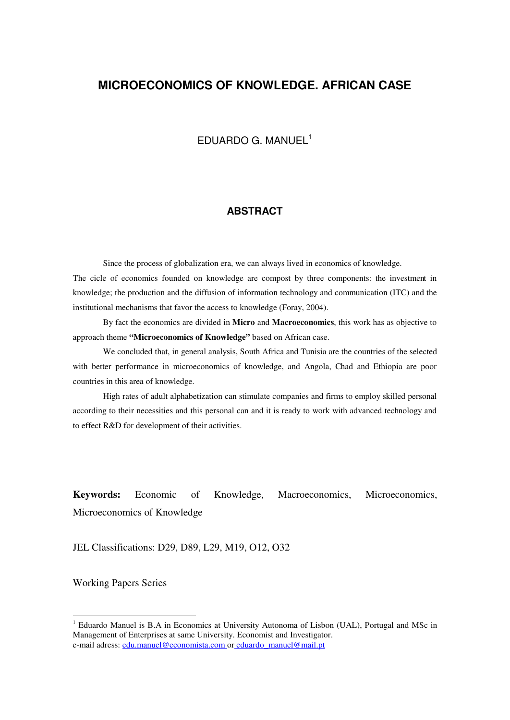# **MICROECONOMICS OF KNOWLEDGE. AFRICAN CASE**

# EDUARDO G. MANUEL<sup>1</sup>

#### **ABSTRACT**

Since the process of globalization era, we can always lived in economics of knowledge.

The cicle of economics founded on knowledge are compost by three components: the investment in knowledge; the production and the diffusion of information technology and communication (ITC) and the institutional mechanisms that favor the access to knowledge (Foray, 2004).

By fact the economics are divided in **Micro** and **Macroeconomics**, this work has as objective to approach theme **"Microeconomics of Knowledge"** based on African case.

We concluded that, in general analysis, South Africa and Tunisia are the countries of the selected with better performance in microeconomics of knowledge, and Angola, Chad and Ethiopia are poor countries in this area of knowledge.

High rates of adult alphabetization can stimulate companies and firms to employ skilled personal according to their necessities and this personal can and it is ready to work with advanced technology and to effect R&D for development of their activities.

**Keywords:** Economic of Knowledge, Macroeconomics, Microeconomics, Microeconomics of Knowledge

JEL Classifications: D29, D89, L29, M19, O12, O32

Working Papers Series

 $\overline{a}$ 

<sup>&</sup>lt;sup>1</sup> Eduardo Manuel is B.A in Economics at University Autonoma of Lisbon (UAL), Portugal and MSc in Management of Enterprises at same University. Economist and Investigator. e-mail adress: edu.manuel@economista.com or eduardo\_manuel@mail.pt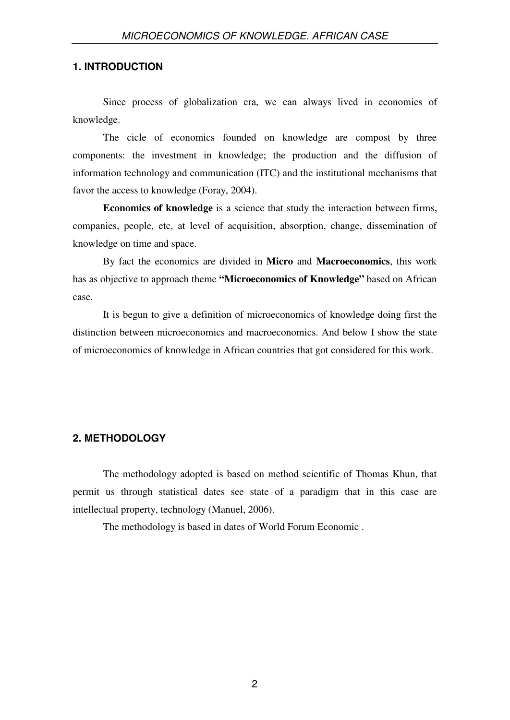#### **1. INTRODUCTION**

Since process of globalization era, we can always lived in economics of knowledge.

The cicle of economics founded on knowledge are compost by three components: the investment in knowledge; the production and the diffusion of information technology and communication (ITC) and the institutional mechanisms that favor the access to knowledge (Foray, 2004).

**Economics of knowledge** is a science that study the interaction between firms, companies, people, etc, at level of acquisition, absorption, change, dissemination of knowledge on time and space.

By fact the economics are divided in **Micro** and **Macroeconomics**, this work has as objective to approach theme **"Microeconomics of Knowledge"** based on African case.

It is begun to give a definition of microeconomics of knowledge doing first the distinction between microeconomics and macroeconomics. And below I show the state of microeconomics of knowledge in African countries that got considered for this work.

### **2. METHODOLOGY**

The methodology adopted is based on method scientific of Thomas Khun, that permit us through statistical dates see state of a paradigm that in this case are intellectual property, technology (Manuel, 2006).

The methodology is based in dates of World Forum Economic .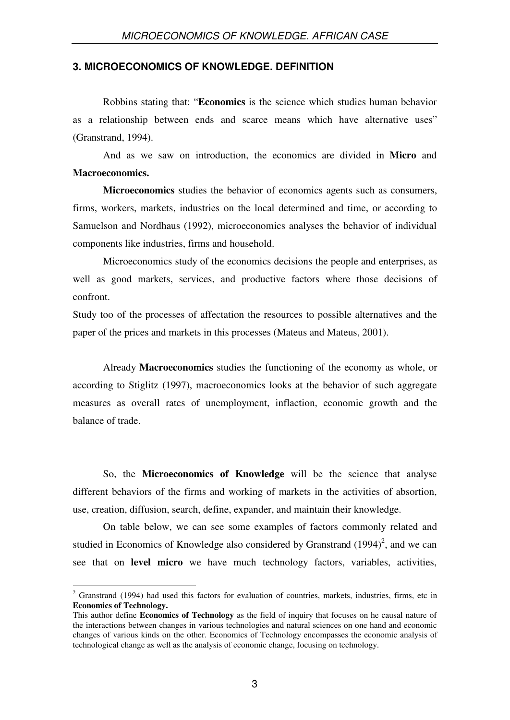#### **3. MICROECONOMICS OF KNOWLEDGE. DEFINITION**

Robbins stating that: "**Economics** is the science which studies human behavior as a relationship between ends and scarce means which have alternative uses" (Granstrand, 1994).

And as we saw on introduction, the economics are divided in **Micro** and **Macroeconomics.**

**Microeconomics** studies the behavior of economics agents such as consumers, firms, workers, markets, industries on the local determined and time, or according to Samuelson and Nordhaus (1992), microeconomics analyses the behavior of individual components like industries, firms and household.

Microeconomics study of the economics decisions the people and enterprises, as well as good markets, services, and productive factors where those decisions of confront.

Study too of the processes of affectation the resources to possible alternatives and the paper of the prices and markets in this processes (Mateus and Mateus, 2001).

Already **Macroeconomics** studies the functioning of the economy as whole, or according to Stiglitz (1997), macroeconomics looks at the behavior of such aggregate measures as overall rates of unemployment, inflaction, economic growth and the balance of trade.

So, the **Microeconomics of Knowledge** will be the science that analyse different behaviors of the firms and working of markets in the activities of absortion, use, creation, diffusion, search, define, expander, and maintain their knowledge.

On table below, we can see some examples of factors commonly related and studied in Economics of Knowledge also considered by Granstrand  $(1994)^2$ , and we can see that on **level micro** we have much technology factors, variables, activities,

<sup>&</sup>lt;sup>2</sup> Granstrand (1994) had used this factors for evaluation of countries, markets, industries, firms, etc in **Economics of Technology.**

This author define **Economics of Technology** as the field of inquiry that focuses on he causal nature of the interactions between changes in various technologies and natural sciences on one hand and economic changes of various kinds on the other. Economics of Technology encompasses the economic analysis of technological change as well as the analysis of economic change, focusing on technology.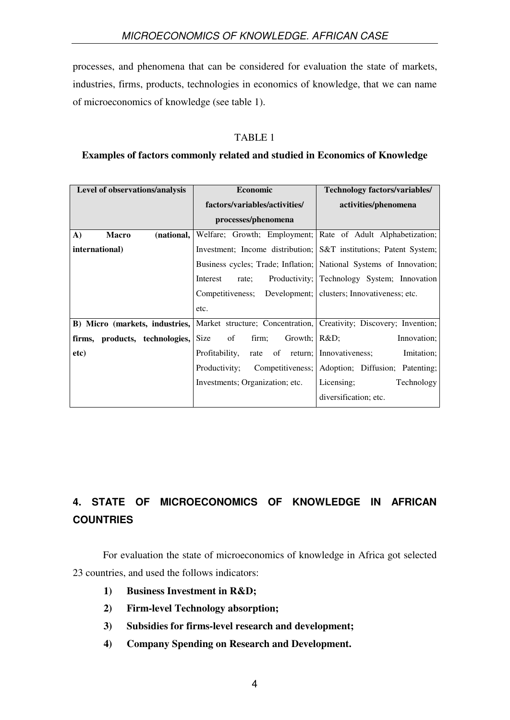processes, and phenomena that can be considered for evaluation the state of markets, industries, firms, products, technologies in economics of knowledge, that we can name of microeconomics of knowledge (see table 1).

# TABLE 1

# **Examples of factors commonly related and studied in Economics of Knowledge**

| Level of observations/analysis             | <b>Economic</b>                                                                                   | <b>Technology factors/variables/</b>                               |  |
|--------------------------------------------|---------------------------------------------------------------------------------------------------|--------------------------------------------------------------------|--|
|                                            | factors/variables/activities/                                                                     | activities/phenomena                                               |  |
|                                            | processes/phenomena                                                                               |                                                                    |  |
| $\mathbf{A}$<br>(national,<br><b>Macro</b> |                                                                                                   | Welfare; Growth; Employment; Rate of Adult Alphabetization;        |  |
| international)                             |                                                                                                   | Investment; Income distribution; S&T institutions; Patent System;  |  |
|                                            |                                                                                                   | Business cycles; Trade; Inflation; National Systems of Innovation; |  |
|                                            | Interest<br>rate;                                                                                 | Productivity; Technology System; Innovation                        |  |
|                                            | Competitiveness; Development; clusters; Innovativeness; etc.                                      |                                                                    |  |
|                                            | etc.                                                                                              |                                                                    |  |
|                                            | B) Micro (markets, industries, Market structure; Concentration, Creativity; Discovery; Invention; |                                                                    |  |
| firms, products, technologies,             | Size<br>of<br>firm;<br>Growth; $\mathsf{R\&D}$ ;                                                  | Innovation;                                                        |  |
| etc)                                       | rate of return; Innovativeness;<br>Profitability,                                                 | Imitation;                                                         |  |
|                                            | Productivity;                                                                                     | Competitiveness; Adoption; Diffusion; Patenting;                   |  |
|                                            | Investments; Organization; etc.                                                                   | Licensing;<br>Technology                                           |  |
|                                            |                                                                                                   | diversification; etc.                                              |  |

# **4. STATE OF MICROECONOMICS OF KNOWLEDGE IN AFRICAN COUNTRIES**

For evaluation the state of microeconomics of knowledge in Africa got selected 23 countries, and used the follows indicators:

- **1) Business Investment in R&D;**
- **2) Firm-level Technology absorption;**
- **3) Subsidies for firms-level research and development;**
- **4) Company Spending on Research and Development.**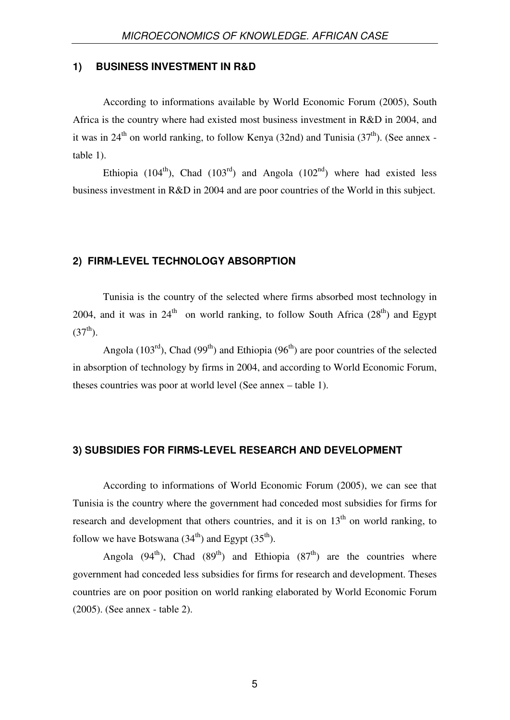#### **1) BUSINESS INVESTMENT IN R&D**

According to informations available by World Economic Forum (2005), South Africa is the country where had existed most business investment in R&D in 2004, and it was in 24<sup>th</sup> on world ranking, to follow Kenya (32nd) and Tunisia (37<sup>th</sup>). (See annex table 1).

Ethiopia (104<sup>th</sup>), Chad (103<sup>rd</sup>) and Angola (102<sup>nd</sup>) where had existed less business investment in R&D in 2004 and are poor countries of the World in this subject.

#### **2) FIRM-LEVEL TECHNOLOGY ABSORPTION**

Tunisia is the country of the selected where firms absorbed most technology in 2004, and it was in  $24<sup>th</sup>$  on world ranking, to follow South Africa ( $28<sup>th</sup>$ ) and Egypt  $(37<sup>th</sup>)$ .

Angola (103<sup>rd</sup>), Chad (99<sup>th</sup>) and Ethiopia (96<sup>th</sup>) are poor countries of the selected in absorption of technology by firms in 2004, and according to World Economic Forum, theses countries was poor at world level (See annex – table 1).

#### **3) SUBSIDIES FOR FIRMS-LEVEL RESEARCH AND DEVELOPMENT**

According to informations of World Economic Forum (2005), we can see that Tunisia is the country where the government had conceded most subsidies for firms for research and development that others countries, and it is on  $13<sup>th</sup>$  on world ranking, to follow we have Botswana  $(34<sup>th</sup>)$  and Egypt  $(35<sup>th</sup>)$ .

Angola (94<sup>th</sup>), Chad (89<sup>th</sup>) and Ethiopia (87<sup>th</sup>) are the countries where government had conceded less subsidies for firms for research and development. Theses countries are on poor position on world ranking elaborated by World Economic Forum (2005). (See annex - table 2).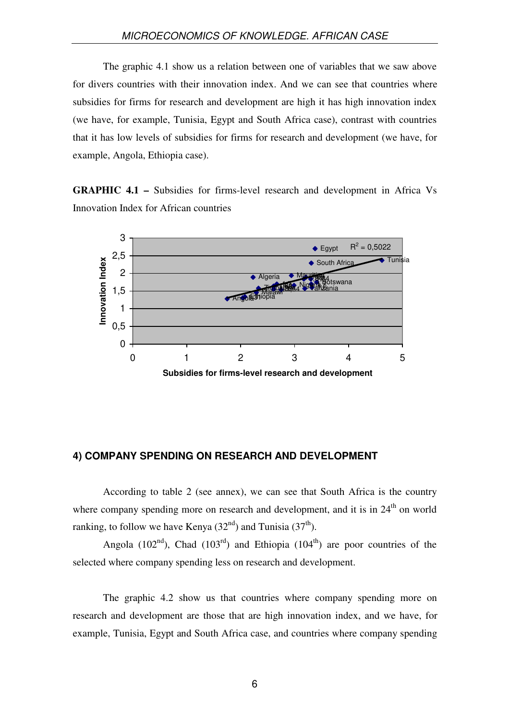The graphic 4.1 show us a relation between one of variables that we saw above for divers countries with their innovation index. And we can see that countries where subsidies for firms for research and development are high it has high innovation index (we have, for example, Tunisia, Egypt and South Africa case), contrast with countries that it has low levels of subsidies for firms for research and development (we have, for example, Angola, Ethiopia case).

**GRAPHIC 4.1 –** Subsidies for firms-level research and development in Africa Vs Innovation Index for African countries



#### **4) COMPANY SPENDING ON RESEARCH AND DEVELOPMENT**

According to table 2 (see annex), we can see that South Africa is the country where company spending more on research and development, and it is in  $24<sup>th</sup>$  on world ranking, to follow we have Kenya  $(32<sup>nd</sup>)$  and Tunisia  $(37<sup>th</sup>)$ .

Angola (102<sup>nd</sup>), Chad (103<sup>rd</sup>) and Ethiopia (104<sup>th</sup>) are poor countries of the selected where company spending less on research and development.

The graphic 4.2 show us that countries where company spending more on research and development are those that are high innovation index, and we have, for example, Tunisia, Egypt and South Africa case, and countries where company spending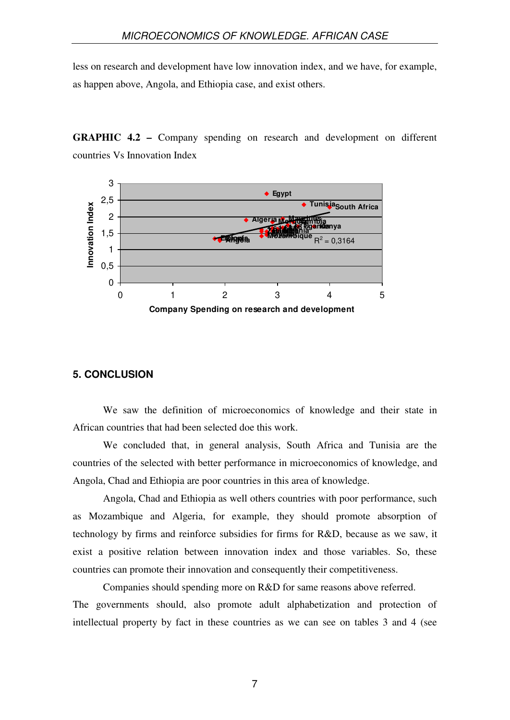less on research and development have low innovation index, and we have, for example, as happen above, Angola, and Ethiopia case, and exist others.

**GRAPHIC 4.2 –** Company spending on research and development on different countries Vs Innovation Index



#### **5. CONCLUSION**

We saw the definition of microeconomics of knowledge and their state in African countries that had been selected doe this work.

We concluded that, in general analysis, South Africa and Tunisia are the countries of the selected with better performance in microeconomics of knowledge, and Angola, Chad and Ethiopia are poor countries in this area of knowledge.

Angola, Chad and Ethiopia as well others countries with poor performance, such as Mozambique and Algeria, for example, they should promote absorption of technology by firms and reinforce subsidies for firms for R&D, because as we saw, it exist a positive relation between innovation index and those variables. So, these countries can promote their innovation and consequently their competitiveness.

Companies should spending more on R&D for same reasons above referred. The governments should, also promote adult alphabetization and protection of intellectual property by fact in these countries as we can see on tables 3 and 4 (see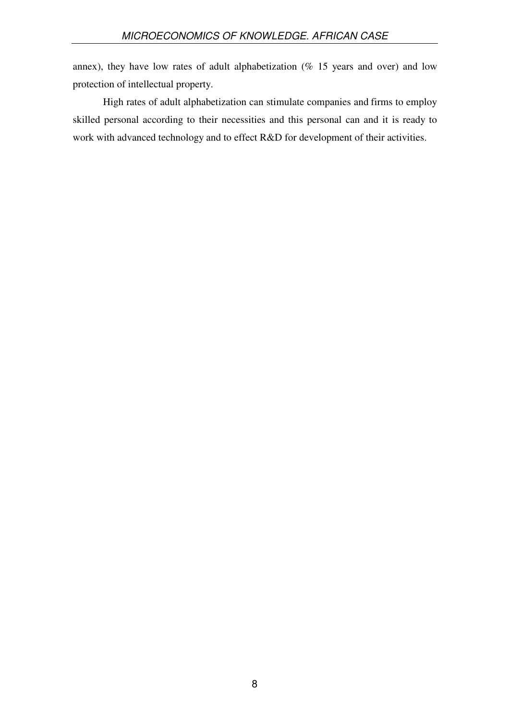annex), they have low rates of adult alphabetization ( $%$  15 years and over) and low protection of intellectual property.

High rates of adult alphabetization can stimulate companies and firms to employ skilled personal according to their necessities and this personal can and it is ready to work with advanced technology and to effect R&D for development of their activities.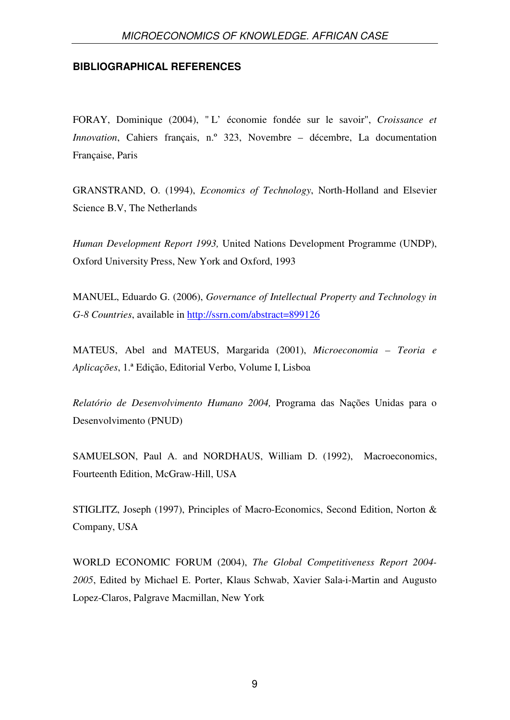#### **BIBLIOGRAPHICAL REFERENCES**

FORAY, Dominique (2004), " L' économie fondée sur le savoir", *Croissance et Innovation*, Cahiers français, n.º 323, Novembre – décembre, La documentation Française, Paris

GRANSTRAND, O. (1994), *Economics of Technology*, North-Holland and Elsevier Science B.V, The Netherlands

*Human Development Report 1993,* United Nations Development Programme (UNDP), Oxford University Press, New York and Oxford, 1993

MANUEL, Eduardo G. (2006), *Governance of Intellectual Property and Technology in G-8 Countries*, available in http://ssrn.com/abstract=899126

MATEUS, Abel and MATEUS, Margarida (2001), *Microeconomia – Teoria e Aplicações*, 1.ª Edição, Editorial Verbo, Volume I, Lisboa

*Relatório de Desenvolvimento Humano 2004,* Programa das Nações Unidas para o Desenvolvimento (PNUD)

SAMUELSON, Paul A. and NORDHAUS, William D. (1992), Macroeconomics, Fourteenth Edition, McGraw-Hill, USA

STIGLITZ, Joseph (1997), Principles of Macro-Economics, Second Edition, Norton & Company, USA

WORLD ECONOMIC FORUM (2004), *The Global Competitiveness Report 2004- 2005*, Edited by Michael E. Porter, Klaus Schwab, Xavier Sala-i-Martin and Augusto Lopez-Claros, Palgrave Macmillan, New York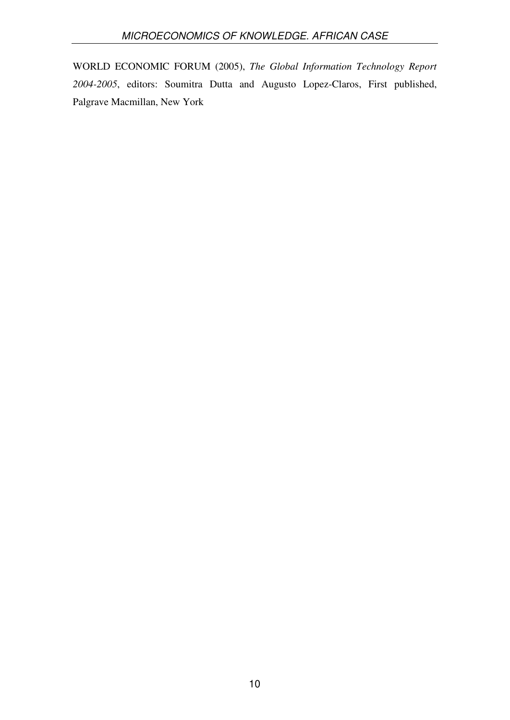WORLD ECONOMIC FORUM (2005), *The Global Information Technology Report 2004-2005*, editors: Soumitra Dutta and Augusto Lopez-Claros, First published, Palgrave Macmillan, New York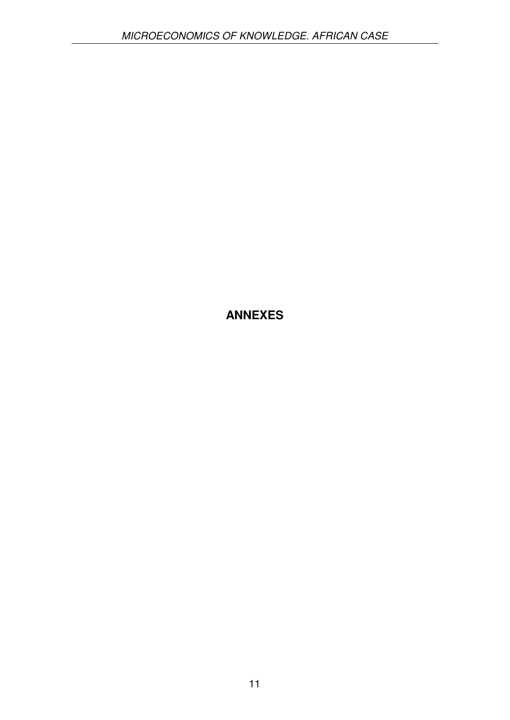# **ANNEXES**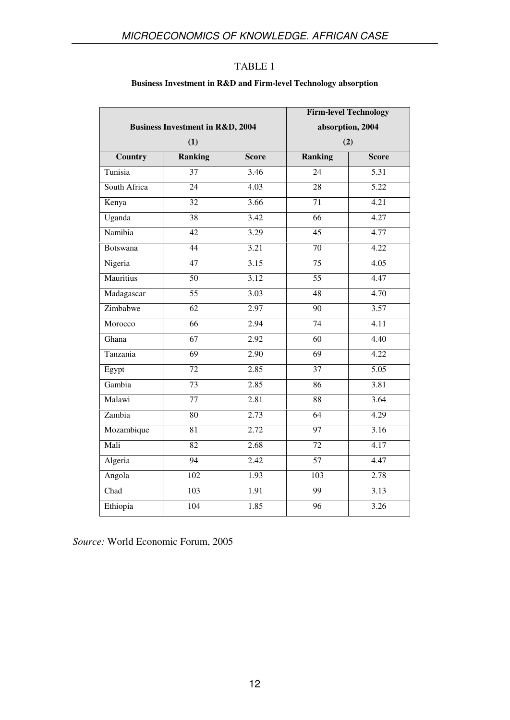#### **Business Investment in R&D and Firm-level Technology absorption**

|                  | <b>Business Investment in R&amp;D, 2004</b> |                   | <b>Firm-level Technology</b> | absorption, 2004  |
|------------------|---------------------------------------------|-------------------|------------------------------|-------------------|
|                  | (1)                                         |                   | (2)                          |                   |
| <b>Country</b>   | <b>Ranking</b>                              | <b>Score</b>      | <b>Ranking</b>               | <b>Score</b>      |
| Tunisia          | $\overline{37}$                             | 3.46              | $\overline{24}$              | 5.31              |
| South Africa     | 24                                          | 4.03              | 28                           | 5.22              |
| Kenya            | $\overline{32}$                             | 3.66              | $\overline{71}$              | 4.21              |
| Uganda           | $\overline{38}$                             | 3.42              | $\overline{66}$              | 4.27              |
| Namibia          | $\overline{42}$                             | 3.29              | $\overline{45}$              | 4.77              |
| <b>Botswana</b>  | 44                                          | 3.21              | 70                           | 4.22              |
| Nigeria          | 47                                          | 3.15              | 75                           | 4.05              |
| <b>Mauritius</b> | 50                                          | 3.12              | 55                           | 4.47              |
| Madagascar       | $\overline{55}$                             | 3.03              | 48                           | 4.70              |
| Zimbabwe         | $\overline{62}$                             | 2.97              | $\overline{90}$              | 3.57              |
| Morocco          | $\overline{66}$                             | 2.94              | 74                           | 4.11              |
| Ghana            | 67                                          | 2.92              | 60                           | 4.40              |
| Tanzania         | $\overline{69}$                             | 2.90              | $\overline{69}$              | 4.22              |
| Egypt            | $\overline{72}$                             | $\overline{2.85}$ | $\overline{37}$              | $\overline{5.05}$ |
| Gambia           | 73                                          | 2.85              | $\overline{86}$              | 3.81              |
| Malawi           | 77                                          | 2.81              | $\overline{88}$              | 3.64              |
| Zambia           | $\overline{80}$                             | 2.73              | $\overline{64}$              | 4.29              |
| Mozambique       | 81                                          | 2.72              | 97                           | 3.16              |
| Mali             | $\overline{82}$                             | 2.68              | $\overline{72}$              | 4.17              |
| Algeria          | 94                                          | 2.42              | $\overline{57}$              | 4.47              |
| Angola           | 102                                         | 1.93              | $\overline{103}$             | 2.78              |
| Chad             | 103                                         | 1.91              | 99                           | 3.13              |
| Ethiopia         | $\overline{104}$                            | 1.85              | 96                           | 3.26              |

*Source:* World Economic Forum, 2005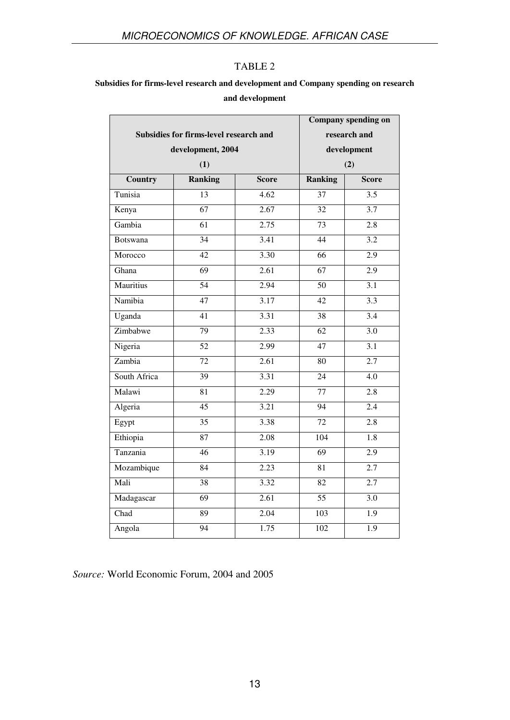# **Subsidies for firms-level research and development and Company spending on research and development**

|                                        |                 |                   |                  | <b>Company spending on</b> |
|----------------------------------------|-----------------|-------------------|------------------|----------------------------|
| Subsidies for firms-level research and |                 | research and      |                  |                            |
| development, 2004                      |                 |                   | development      |                            |
|                                        | (1)             |                   | (2)              |                            |
| <b>Country</b>                         | <b>Ranking</b>  | <b>Score</b>      | <b>Ranking</b>   | <b>Score</b>               |
| Tunisia                                | $\overline{13}$ | $\overline{4.62}$ | 37               | $\overline{3.5}$           |
| Kenya                                  | 67              | 2.67              | 32               | 3.7                        |
| Gambia                                 | 61              | 2.75              | 73               | 2.8                        |
| <b>Botswana</b>                        | 34              | 3.41              | 44               | 3.2                        |
| Morocco                                | 42              | 3.30              | 66               | 2.9                        |
| Ghana                                  | $\overline{69}$ | 2.61              | $\overline{67}$  | 2.9                        |
| Mauritius                              | 54              | 2.94              | $\overline{50}$  | 3.1                        |
| Namibia                                | 47              | 3.17              | $\overline{42}$  | 3.3                        |
| Uganda                                 | $\overline{41}$ | 3.31              | $\overline{38}$  | 3.4                        |
| Zimbabwe                               | 79              | 2.33              | $\overline{62}$  | $\overline{3.0}$           |
| Nigeria                                | 52              | 2.99              | 47               | 3.1                        |
| Zambia                                 | 72              | 2.61              | 80               | 2.7                        |
| South Africa                           | 39              | 3.31              | $\overline{24}$  | $\overline{4.0}$           |
| Malawi                                 | 81              | 2.29              | 77               | 2.8                        |
| Algeria                                | $\overline{45}$ | 3.21              | $\overline{94}$  | 2.4                        |
| Egypt                                  | $\overline{35}$ | 3.38              | $\overline{72}$  | $\overline{2.8}$           |
| Ethiopia                               | 87              | 2.08              | $\overline{104}$ | $\overline{1.8}$           |
| Tanzania                               | $\overline{46}$ | 3.19              | $\overline{69}$  | $\overline{2.9}$           |
| Mozambique                             | $\overline{84}$ | 2.23              | $\overline{81}$  | 2.7                        |
| Mali                                   | 38              | 3.32              | 82               | 2.7                        |
| Madagascar                             | 69              | 2.61              | 55               | 3.0                        |
| Chad                                   | 89              | 2.04              | 103              | 1.9                        |
| Angola                                 | $\overline{94}$ | 1.75              | $\overline{102}$ | $\overline{1.9}$           |

*Source:* World Economic Forum, 2004 and 2005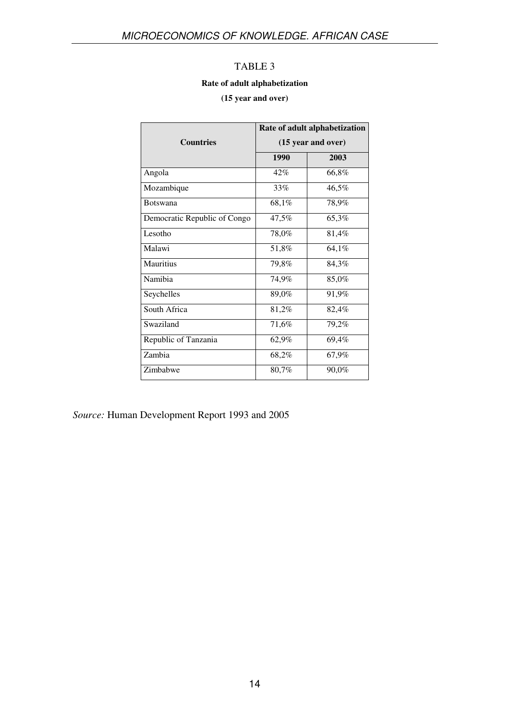#### **Rate of adult alphabetization**

#### **(15 year and over)**

|                              | Rate of adult alphabetization<br>(15 year and over) |          |  |
|------------------------------|-----------------------------------------------------|----------|--|
| <b>Countries</b>             |                                                     |          |  |
|                              | 1990                                                | 2003     |  |
| Angola                       | 42%                                                 | $66,8\%$ |  |
| Mozambique                   | 33%                                                 | 46,5%    |  |
| <b>Botswana</b>              | 68,1%                                               | 78,9%    |  |
| Democratic Republic of Congo | 47,5%                                               | 65,3%    |  |
| Lesotho                      | 78,0%                                               | 81,4%    |  |
| Malawi                       | 51,8%                                               | 64,1%    |  |
| Mauritius                    | 79,8%                                               | 84,3%    |  |
| Namibia                      | 74,9%                                               | 85,0%    |  |
| Seychelles                   | 89,0%                                               | 91,9%    |  |
| South Africa                 | 81,2%                                               | 82,4%    |  |
| Swaziland                    | 71,6%                                               | 79,2%    |  |
| Republic of Tanzania         | 62,9%                                               | 69,4%    |  |
| Zambia                       | 68,2%                                               | 67,9%    |  |
| Zimbabwe                     | 80,7%                                               | 90,0%    |  |

*Source:* Human Development Report 1993 and 2005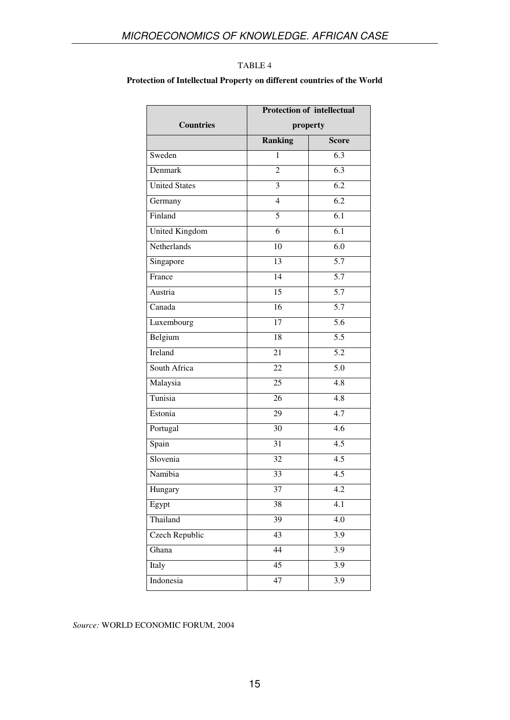#### **Protection of Intellectual Property on different countries of the World**

|                      | <b>Protection of intellectual</b> |                  |
|----------------------|-----------------------------------|------------------|
| <b>Countries</b>     |                                   | property         |
|                      | <b>Ranking</b>                    | <b>Score</b>     |
| Sweden               | $\mathbf{1}$                      | $\overline{6.3}$ |
| Denmark              | $\overline{c}$                    | 6.3              |
| <b>United States</b> | $\overline{\mathbf{3}}$           | $\overline{6.2}$ |
| Germany              | $\overline{4}$                    | $\overline{6.2}$ |
| Finland              | 5                                 | 6.1              |
| United Kingdom       | 6                                 | 6.1              |
| Netherlands          | 10                                | $\overline{6.0}$ |
| Singapore            | 13                                | $\overline{5.7}$ |
| France               | $\overline{14}$                   | $\overline{5.7}$ |
| Austria              | 15                                | 5.7              |
| Canada               | 16                                | $\overline{5.7}$ |
| Luxembourg           | $\overline{17}$                   | $\overline{5.6}$ |
| Belgium              | 18                                | $\overline{5.5}$ |
| Ireland              | $\overline{21}$                   | 5.2              |
| South Africa         | 22                                | $\overline{5.0}$ |
| Malaysia             | $\overline{25}$                   | 4.8              |
| Tunisia              | 26                                | $\overline{4.8}$ |
| Estonia              | 29                                | 4.7              |
| Portugal             | $\overline{30}$                   | $\overline{4.6}$ |
| Spain                | 31                                | $\overline{4.5}$ |
| Slovenia             | 32                                | $\overline{4.5}$ |
| Namibia              | $\overline{33}$                   | 4.5              |
| Hungary              | 37                                | 4.2              |
| Egypt                | 38                                | 4.1              |
| Thailand             | $\overline{39}$                   | $\overline{4.0}$ |
| Czech Republic       | 43                                | 3.9              |
| Ghana                | 44                                | $\overline{3.9}$ |
| Italy                | $\overline{45}$                   | $\overline{3.9}$ |
| Indonesia            | 47                                | $\overline{3.9}$ |
|                      |                                   |                  |

#### *Source:* WORLD ECONOMIC FORUM, 2004